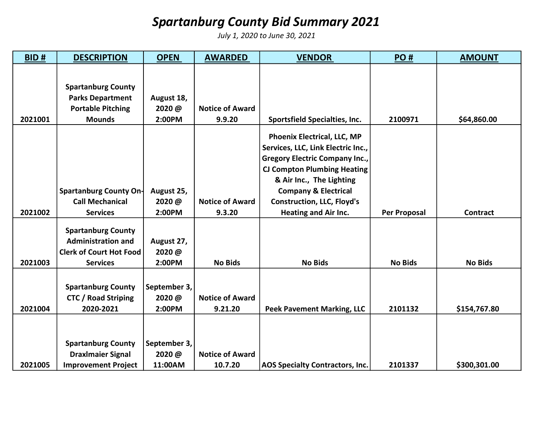## Spartanburg County Bid Summary 2021

July 1, 2020 to June 30, 2021

| BID#    | <b>DESCRIPTION</b>             | <b>OPEN</b>  | <b>AWARDED</b>         | <b>VENDOR</b>                          | PO#                 | <b>AMOUNT</b>   |
|---------|--------------------------------|--------------|------------------------|----------------------------------------|---------------------|-----------------|
|         |                                |              |                        |                                        |                     |                 |
|         | <b>Spartanburg County</b>      |              |                        |                                        |                     |                 |
|         | <b>Parks Department</b>        | August 18,   |                        |                                        |                     |                 |
|         | <b>Portable Pitching</b>       | 2020@        | <b>Notice of Award</b> |                                        |                     |                 |
| 2021001 | <b>Mounds</b>                  | 2:00PM       | 9.9.20                 | <b>Sportsfield Specialties, Inc.</b>   | 2100971             | \$64,860.00     |
|         |                                |              |                        |                                        |                     |                 |
|         |                                |              |                        | Phoenix Electrical, LLC, MP            |                     |                 |
|         |                                |              |                        | Services, LLC, Link Electric Inc.,     |                     |                 |
|         |                                |              |                        | <b>Gregory Electric Company Inc.,</b>  |                     |                 |
|         |                                |              |                        | <b>CJ Compton Plumbing Heating</b>     |                     |                 |
|         |                                |              |                        | & Air Inc., The Lighting               |                     |                 |
|         | Spartanburg County On-         | August 25,   |                        | <b>Company &amp; Electrical</b>        |                     |                 |
|         | <b>Call Mechanical</b>         | 2020@        | <b>Notice of Award</b> | <b>Construction, LLC, Floyd's</b>      |                     |                 |
| 2021002 | <b>Services</b>                | 2:00PM       | 9.3.20                 | <b>Heating and Air Inc.</b>            | <b>Per Proposal</b> | <b>Contract</b> |
|         |                                |              |                        |                                        |                     |                 |
|         | <b>Spartanburg County</b>      |              |                        |                                        |                     |                 |
|         | <b>Administration and</b>      | August 27,   |                        |                                        |                     |                 |
|         | <b>Clerk of Court Hot Food</b> | 2020@        |                        |                                        |                     |                 |
| 2021003 | <b>Services</b>                | 2:00PM       | <b>No Bids</b>         | <b>No Bids</b>                         | <b>No Bids</b>      | <b>No Bids</b>  |
|         |                                |              |                        |                                        |                     |                 |
|         | <b>Spartanburg County</b>      | September 3, |                        |                                        |                     |                 |
|         | <b>CTC / Road Striping</b>     | 2020@        | <b>Notice of Award</b> |                                        |                     |                 |
| 2021004 | 2020-2021                      | 2:00PM       | 9.21.20                | <b>Peek Pavement Marking, LLC</b>      | 2101132             | \$154,767.80    |
|         |                                |              |                        |                                        |                     |                 |
|         |                                |              |                        |                                        |                     |                 |
|         | <b>Spartanburg County</b>      | September 3, |                        |                                        |                     |                 |
|         | <b>DraxImaier Signal</b>       | 2020@        | <b>Notice of Award</b> |                                        |                     |                 |
| 2021005 | <b>Improvement Project</b>     | 11:00AM      | 10.7.20                | <b>AOS Specialty Contractors, Inc.</b> | 2101337             | \$300,301.00    |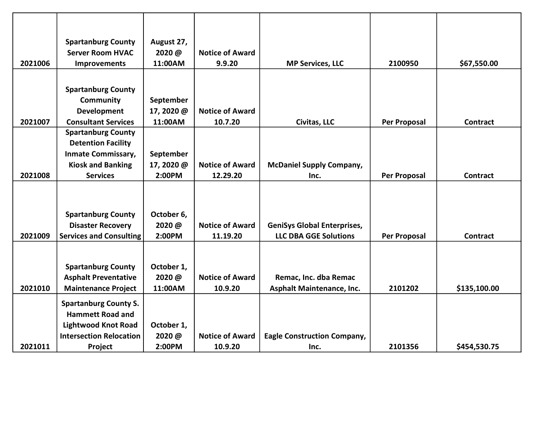|         | <b>Spartanburg County</b>      | August 27, |                        |                                    |                     |                 |
|---------|--------------------------------|------------|------------------------|------------------------------------|---------------------|-----------------|
|         | <b>Server Room HVAC</b>        | 2020@      | <b>Notice of Award</b> |                                    |                     |                 |
| 2021006 | <b>Improvements</b>            | 11:00AM    | 9.9.20                 | <b>MP Services, LLC</b>            | 2100950             | \$67,550.00     |
|         |                                |            |                        |                                    |                     |                 |
|         | <b>Spartanburg County</b>      |            |                        |                                    |                     |                 |
|         | <b>Community</b>               | September  |                        |                                    |                     |                 |
|         | Development                    | 17, 2020 @ | <b>Notice of Award</b> |                                    |                     |                 |
| 2021007 | <b>Consultant Services</b>     | 11:00AM    | 10.7.20                |                                    | <b>Per Proposal</b> | <b>Contract</b> |
|         | <b>Spartanburg County</b>      |            |                        | Civitas, LLC                       |                     |                 |
|         |                                |            |                        |                                    |                     |                 |
|         | <b>Detention Facility</b>      |            |                        |                                    |                     |                 |
|         | <b>Inmate Commissary,</b>      | September  |                        |                                    |                     |                 |
|         | <b>Kiosk and Banking</b>       | 17, 2020 @ | <b>Notice of Award</b> | <b>McDaniel Supply Company,</b>    |                     |                 |
| 2021008 | <b>Services</b>                | 2:00PM     | 12.29.20               | Inc.                               | <b>Per Proposal</b> | <b>Contract</b> |
|         |                                |            |                        |                                    |                     |                 |
|         |                                |            |                        |                                    |                     |                 |
|         | <b>Spartanburg County</b>      | October 6, |                        |                                    |                     |                 |
|         | <b>Disaster Recovery</b>       | 2020@      | <b>Notice of Award</b> | <b>GeniSys Global Enterprises,</b> |                     |                 |
| 2021009 | <b>Services and Consulting</b> | 2:00PM     | 11.19.20               | <b>LLC DBA GGE Solutions</b>       | <b>Per Proposal</b> | <b>Contract</b> |
|         |                                |            |                        |                                    |                     |                 |
|         |                                |            |                        |                                    |                     |                 |
|         | <b>Spartanburg County</b>      | October 1, |                        |                                    |                     |                 |
|         | <b>Asphalt Preventative</b>    | 2020@      | <b>Notice of Award</b> | Remac, Inc. dba Remac              |                     |                 |
| 2021010 | <b>Maintenance Project</b>     | 11:00AM    | 10.9.20                | <b>Asphalt Maintenance, Inc.</b>   | 2101202             | \$135,100.00    |
|         |                                |            |                        |                                    |                     |                 |
|         | <b>Spartanburg County S.</b>   |            |                        |                                    |                     |                 |
|         | <b>Hammett Road and</b>        |            |                        |                                    |                     |                 |
|         | <b>Lightwood Knot Road</b>     | October 1, |                        |                                    |                     |                 |
|         | <b>Intersection Relocation</b> | 2020@      | <b>Notice of Award</b> | <b>Eagle Construction Company,</b> |                     |                 |
| 2021011 | Project                        | 2:00PM     | 10.9.20                | Inc.                               | 2101356             | \$454,530.75    |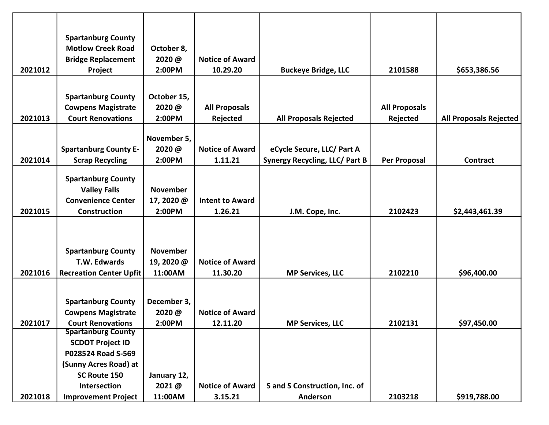|         | <b>Spartanburg County</b>      |                 |                        |                                       |                      |                               |
|---------|--------------------------------|-----------------|------------------------|---------------------------------------|----------------------|-------------------------------|
|         | <b>Motlow Creek Road</b>       | October 8,      |                        |                                       |                      |                               |
|         | <b>Bridge Replacement</b>      | 2020@           | <b>Notice of Award</b> |                                       |                      |                               |
| 2021012 | Project                        | 2:00PM          | 10.29.20               | <b>Buckeye Bridge, LLC</b>            | 2101588              | \$653,386.56                  |
|         |                                |                 |                        |                                       |                      |                               |
|         | <b>Spartanburg County</b>      | October 15,     |                        |                                       |                      |                               |
|         | <b>Cowpens Magistrate</b>      | 2020@           | <b>All Proposals</b>   |                                       | <b>All Proposals</b> |                               |
| 2021013 | <b>Court Renovations</b>       | 2:00PM          | Rejected               | <b>All Proposals Rejected</b>         | Rejected             | <b>All Proposals Rejected</b> |
|         |                                |                 |                        |                                       |                      |                               |
|         |                                | November 5,     |                        |                                       |                      |                               |
|         | <b>Spartanburg County E-</b>   | 2020@           | <b>Notice of Award</b> | eCycle Secure, LLC/ Part A            |                      |                               |
| 2021014 | <b>Scrap Recycling</b>         | 2:00PM          | 1.11.21                | <b>Synergy Recycling, LLC/ Part B</b> | <b>Per Proposal</b>  | <b>Contract</b>               |
|         |                                |                 |                        |                                       |                      |                               |
|         | <b>Spartanburg County</b>      |                 |                        |                                       |                      |                               |
|         | <b>Valley Falls</b>            | <b>November</b> |                        |                                       |                      |                               |
|         | <b>Convenience Center</b>      | 17, 2020 @      | <b>Intent to Award</b> |                                       |                      |                               |
| 2021015 | Construction                   | 2:00PM          | 1.26.21                | J.M. Cope, Inc.                       | 2102423              | \$2,443,461.39                |
|         |                                |                 |                        |                                       |                      |                               |
|         |                                |                 |                        |                                       |                      |                               |
|         | <b>Spartanburg County</b>      | <b>November</b> |                        |                                       |                      |                               |
|         | T.W. Edwards                   | 19, 2020 @      | <b>Notice of Award</b> |                                       |                      |                               |
| 2021016 | <b>Recreation Center Upfit</b> | 11:00AM         | 11.30.20               | <b>MP Services, LLC</b>               | 2102210              | \$96,400.00                   |
|         |                                |                 |                        |                                       |                      |                               |
|         |                                |                 |                        |                                       |                      |                               |
|         | <b>Spartanburg County</b>      | December 3,     |                        |                                       |                      |                               |
|         | <b>Cowpens Magistrate</b>      | 2020@           | <b>Notice of Award</b> |                                       |                      |                               |
| 2021017 | <b>Court Renovations</b>       | 2:00PM          | 12.11.20               | <b>MP Services, LLC</b>               | 2102131              | \$97,450.00                   |
|         | <b>Spartanburg County</b>      |                 |                        |                                       |                      |                               |
|         | <b>SCDOT Project ID</b>        |                 |                        |                                       |                      |                               |
|         | P028524 Road S-569             |                 |                        |                                       |                      |                               |
|         | (Sunny Acres Road) at          |                 |                        |                                       |                      |                               |
|         | SC Route 150                   | January 12,     |                        |                                       |                      |                               |
|         | Intersection                   | 2021@           | <b>Notice of Award</b> | S and S Construction, Inc. of         |                      |                               |
| 2021018 | <b>Improvement Project</b>     | 11:00AM         | 3.15.21                | Anderson                              | 2103218              | \$919,788.00                  |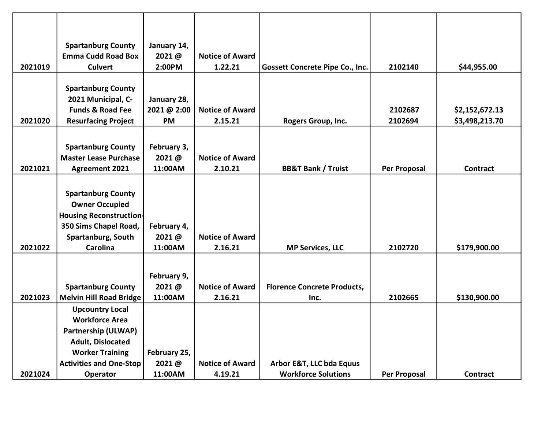|         | <b>Spartanburg County</b>      | January 14,  |                        |                                        |              |                 |
|---------|--------------------------------|--------------|------------------------|----------------------------------------|--------------|-----------------|
|         | <b>Emma Cudd Road Box</b>      | 2021@        | <b>Notice of Award</b> |                                        |              |                 |
| 2021019 | <b>Culvert</b>                 | 2:00PM       | 1.22.21                | <b>Gossett Concrete Pipe Co., Inc.</b> | 2102140      | \$44,955.00     |
|         |                                |              |                        |                                        |              |                 |
|         | <b>Spartanburg County</b>      |              |                        |                                        |              |                 |
|         | 2021 Municipal, C-             | January 28,  |                        |                                        |              |                 |
|         | <b>Funds &amp; Road Fee</b>    | 2021 @ 2:00  | <b>Notice of Award</b> |                                        | 2102687      | \$2,152,672.13  |
| 2021020 | <b>Resurfacing Project</b>     | <b>PM</b>    | 2.15.21                | Rogers Group, Inc.                     | 2102694      | \$3,498,213.70  |
|         |                                |              |                        |                                        |              |                 |
|         | <b>Spartanburg County</b>      | February 3,  |                        |                                        |              |                 |
|         | <b>Master Lease Purchase</b>   | 2021@        | <b>Notice of Award</b> |                                        |              |                 |
| 2021021 | <b>Agreement 2021</b>          | 11:00AM      | 2.10.21                | <b>BB&amp;T Bank / Truist</b>          | Per Proposal | <b>Contract</b> |
|         |                                |              |                        |                                        |              |                 |
|         | <b>Spartanburg County</b>      |              |                        |                                        |              |                 |
|         | <b>Owner Occupied</b>          |              |                        |                                        |              |                 |
|         | <b>Housing Reconstruction-</b> |              |                        |                                        |              |                 |
|         | 350 Sims Chapel Road,          | February 4,  |                        |                                        |              |                 |
|         | Spartanburg, South             | 2021@        | <b>Notice of Award</b> |                                        |              |                 |
| 2021022 | Carolina                       | 11:00AM      | 2.16.21                | <b>MP Services, LLC</b>                | 2102720      | \$179,900.00    |
|         |                                |              |                        |                                        |              |                 |
|         |                                |              |                        |                                        |              |                 |
|         |                                | February 9,  |                        |                                        |              |                 |
|         | <b>Spartanburg County</b>      | 2021@        | <b>Notice of Award</b> | <b>Florence Concrete Products,</b>     |              |                 |
| 2021023 | <b>Melvin Hill Road Bridge</b> | 11:00AM      | 2.16.21                | Inc.                                   | 2102665      | \$130,900.00    |
|         | <b>Upcountry Local</b>         |              |                        |                                        |              |                 |
|         | <b>Workforce Area</b>          |              |                        |                                        |              |                 |
|         | <b>Partnership (ULWAP)</b>     |              |                        |                                        |              |                 |
|         | <b>Adult, Dislocated</b>       |              |                        |                                        |              |                 |
|         | <b>Worker Training</b>         | February 25, |                        |                                        |              |                 |
|         | <b>Activities and One-Stop</b> | 2021@        | <b>Notice of Award</b> | Arbor E&T, LLC bda Equus               |              |                 |
| 2021024 | <b>Operator</b>                | 11:00AM      | 4.19.21                | <b>Workforce Solutions</b>             | Per Proposal | Contract        |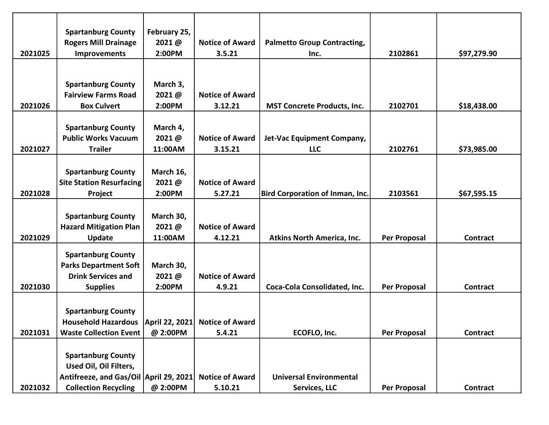|         | <b>Spartanburg County</b>                            | February 25,    |                        |                                        |                     |                 |
|---------|------------------------------------------------------|-----------------|------------------------|----------------------------------------|---------------------|-----------------|
| 2021025 | <b>Rogers Mill Drainage</b>                          | 2021@<br>2:00PM | <b>Notice of Award</b> | <b>Palmetto Group Contracting,</b>     | 2102861             |                 |
|         | <b>Improvements</b>                                  |                 | 3.5.21                 | Inc.                                   |                     | \$97,279.90     |
|         |                                                      |                 |                        |                                        |                     |                 |
|         | <b>Spartanburg County</b>                            | March 3,        |                        |                                        |                     |                 |
|         | <b>Fairview Farms Road</b>                           | 2021@           | <b>Notice of Award</b> |                                        |                     |                 |
| 2021026 | <b>Box Culvert</b>                                   | 2:00PM          | 3.12.21                | <b>MST Concrete Products, Inc.</b>     | 2102701             | \$18,438.00     |
|         |                                                      |                 |                        |                                        |                     |                 |
|         | <b>Spartanburg County</b>                            | March 4,        |                        |                                        |                     |                 |
|         | <b>Public Works Vacuum</b>                           | 2021@           | <b>Notice of Award</b> | Jet-Vac Equipment Company,             |                     |                 |
| 2021027 | <b>Trailer</b>                                       | 11:00AM         | 3.15.21                | <b>LLC</b>                             | 2102761             | \$73,985.00     |
|         |                                                      |                 |                        |                                        |                     |                 |
|         | <b>Spartanburg County</b>                            | March 16,       |                        |                                        |                     |                 |
|         | <b>Site Station Resurfacing</b>                      | 2021@           | <b>Notice of Award</b> |                                        |                     |                 |
| 2021028 | Project                                              | 2:00PM          | 5.27.21                | <b>Bird Corporation of Inman, Inc.</b> | 2103561             | \$67,595.15     |
|         |                                                      |                 |                        |                                        |                     |                 |
|         | <b>Spartanburg County</b>                            | March 30,       |                        |                                        |                     |                 |
|         | <b>Hazard Mitigation Plan</b>                        | 2021@           | <b>Notice of Award</b> |                                        |                     |                 |
| 2021029 | <b>Update</b>                                        | 11:00AM         | 4.12.21                | <b>Atkins North America, Inc.</b>      | <b>Per Proposal</b> | <b>Contract</b> |
|         | <b>Spartanburg County</b>                            |                 |                        |                                        |                     |                 |
|         | <b>Parks Department Soft</b>                         | March 30,       |                        |                                        |                     |                 |
|         | <b>Drink Services and</b>                            | 2021@           | <b>Notice of Award</b> |                                        |                     |                 |
| 2021030 | <b>Supplies</b>                                      | 2:00PM          | 4.9.21                 | Coca-Cola Consolidated, Inc.           | <b>Per Proposal</b> | <b>Contract</b> |
|         |                                                      |                 |                        |                                        |                     |                 |
|         | <b>Spartanburg County</b>                            |                 |                        |                                        |                     |                 |
|         | Household Hazardous   April 22, 2021 Notice of Award |                 |                        |                                        |                     |                 |
| 2021031 | <b>Waste Collection Event</b>                        | @ 2:00PM        | 5.4.21                 | ECOFLO, Inc.                           | <b>Per Proposal</b> | <b>Contract</b> |
|         |                                                      |                 |                        |                                        |                     |                 |
|         | <b>Spartanburg County</b>                            |                 |                        |                                        |                     |                 |
|         | Used Oil, Oil Filters,                               |                 |                        |                                        |                     |                 |
|         | Antifreeze, and Gas/Oil April 29, 2021               |                 | <b>Notice of Award</b> | <b>Universal Environmental</b>         |                     |                 |
| 2021032 | <b>Collection Recycling</b>                          | @ 2:00PM        | 5.10.21                | Services, LLC                          | <b>Per Proposal</b> | Contract        |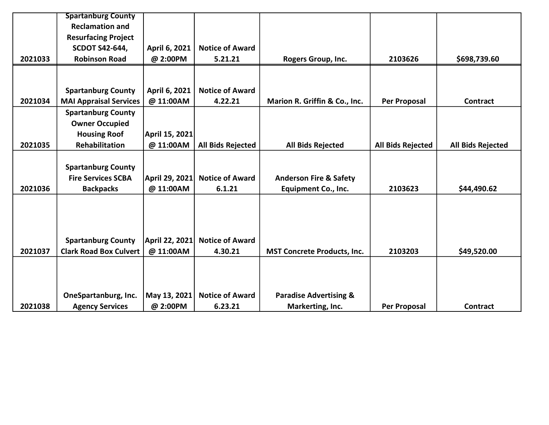|         | <b>Spartanburg County</b>     |                |                          |                                    |                          |                          |
|---------|-------------------------------|----------------|--------------------------|------------------------------------|--------------------------|--------------------------|
|         | <b>Reclamation and</b>        |                |                          |                                    |                          |                          |
|         | <b>Resurfacing Project</b>    |                |                          |                                    |                          |                          |
|         | <b>SCDOT S42-644,</b>         | April 6, 2021  | <b>Notice of Award</b>   |                                    |                          |                          |
| 2021033 | <b>Robinson Road</b>          | @ 2:00PM       | 5.21.21                  | Rogers Group, Inc.                 | 2103626                  | \$698,739.60             |
|         |                               |                |                          |                                    |                          |                          |
|         |                               |                |                          |                                    |                          |                          |
|         | <b>Spartanburg County</b>     | April 6, 2021  | <b>Notice of Award</b>   |                                    |                          |                          |
| 2021034 | <b>MAI Appraisal Services</b> | @ 11:00AM      | 4.22.21                  | Marion R. Griffin & Co., Inc.      | <b>Per Proposal</b>      | <b>Contract</b>          |
|         | <b>Spartanburg County</b>     |                |                          |                                    |                          |                          |
|         | <b>Owner Occupied</b>         |                |                          |                                    |                          |                          |
|         | <b>Housing Roof</b>           | April 15, 2021 |                          |                                    |                          |                          |
| 2021035 | <b>Rehabilitation</b>         | @ 11:00AM      | <b>All Bids Rejected</b> | <b>All Bids Rejected</b>           | <b>All Bids Rejected</b> | <b>All Bids Rejected</b> |
|         |                               |                |                          |                                    |                          |                          |
|         | <b>Spartanburg County</b>     |                |                          |                                    |                          |                          |
|         | <b>Fire Services SCBA</b>     | April 29, 2021 | <b>Notice of Award</b>   | <b>Anderson Fire &amp; Safety</b>  |                          |                          |
| 2021036 | <b>Backpacks</b>              | @ 11:00AM      | 6.1.21                   | <b>Equipment Co., Inc.</b>         | 2103623                  | \$44,490.62              |
|         |                               |                |                          |                                    |                          |                          |
|         |                               |                |                          |                                    |                          |                          |
|         |                               |                |                          |                                    |                          |                          |
|         |                               |                |                          |                                    |                          |                          |
|         | <b>Spartanburg County</b>     | April 22, 2021 | <b>Notice of Award</b>   |                                    |                          |                          |
| 2021037 | <b>Clark Road Box Culvert</b> | @ 11:00AM      | 4.30.21                  | <b>MST Concrete Products, Inc.</b> | 2103203                  | \$49,520.00              |
|         |                               |                |                          |                                    |                          |                          |
|         |                               |                |                          |                                    |                          |                          |
|         |                               |                |                          |                                    |                          |                          |
|         | OneSpartanburg, Inc.          | May 13, 2021   | <b>Notice of Award</b>   | <b>Paradise Advertising &amp;</b>  |                          |                          |
| 2021038 | <b>Agency Services</b>        | @ 2:00PM       | 6.23.21                  | Markerting, Inc.                   | <b>Per Proposal</b>      | <b>Contract</b>          |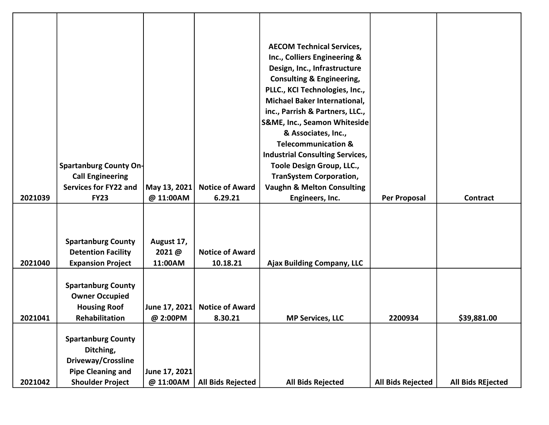|         |                           |               |                          | <b>AECOM Technical Services,</b>       |                          |                          |
|---------|---------------------------|---------------|--------------------------|----------------------------------------|--------------------------|--------------------------|
|         |                           |               |                          | Inc., Colliers Engineering &           |                          |                          |
|         |                           |               |                          | Design, Inc., Infrastructure           |                          |                          |
|         |                           |               |                          | <b>Consulting &amp; Engineering,</b>   |                          |                          |
|         |                           |               |                          | PLLC., KCI Technologies, Inc.,         |                          |                          |
|         |                           |               |                          | Michael Baker International,           |                          |                          |
|         |                           |               |                          | inc., Parrish & Partners, LLC.,        |                          |                          |
|         |                           |               |                          | S&ME, Inc., Seamon Whiteside           |                          |                          |
|         |                           |               |                          | & Associates, Inc.,                    |                          |                          |
|         |                           |               |                          | <b>Telecommunication &amp;</b>         |                          |                          |
|         |                           |               |                          | <b>Industrial Consulting Services,</b> |                          |                          |
|         | Spartanburg County On-    |               |                          | Toole Design Group, LLC.,              |                          |                          |
|         | <b>Call Engineering</b>   |               |                          | <b>TranSystem Corporation,</b>         |                          |                          |
|         | Services for FY22 and     | May 13, 2021  | <b>Notice of Award</b>   | <b>Vaughn &amp; Melton Consulting</b>  |                          |                          |
| 2021039 | <b>FY23</b>               | @ 11:00AM     | 6.29.21                  | Engineers, Inc.                        | Per Proposal             | Contract                 |
|         |                           |               |                          |                                        |                          |                          |
|         |                           |               |                          |                                        |                          |                          |
|         |                           |               |                          |                                        |                          |                          |
|         | <b>Spartanburg County</b> | August 17,    |                          |                                        |                          |                          |
|         | <b>Detention Facility</b> | 2021@         | <b>Notice of Award</b>   |                                        |                          |                          |
| 2021040 | <b>Expansion Project</b>  | 11:00AM       | 10.18.21                 | <b>Ajax Building Company, LLC</b>      |                          |                          |
|         |                           |               |                          |                                        |                          |                          |
|         | <b>Spartanburg County</b> |               |                          |                                        |                          |                          |
|         | <b>Owner Occupied</b>     |               |                          |                                        |                          |                          |
|         | <b>Housing Roof</b>       | June 17, 2021 | <b>Notice of Award</b>   |                                        |                          |                          |
| 2021041 | Rehabilitation            | @ 2:00PM      | 8.30.21                  | <b>MP Services, LLC</b>                | 2200934                  | \$39,881.00              |
|         |                           |               |                          |                                        |                          |                          |
|         | <b>Spartanburg County</b> |               |                          |                                        |                          |                          |
|         | Ditching,                 |               |                          |                                        |                          |                          |
|         | Driveway/Crossline        |               |                          |                                        |                          |                          |
|         | <b>Pipe Cleaning and</b>  | June 17, 2021 |                          |                                        |                          |                          |
| 2021042 | <b>Shoulder Project</b>   | @ 11:00AM     | <b>All Bids Rejected</b> | All Bids Rejected                      | <b>All Bids Rejected</b> | <b>All Bids REjected</b> |